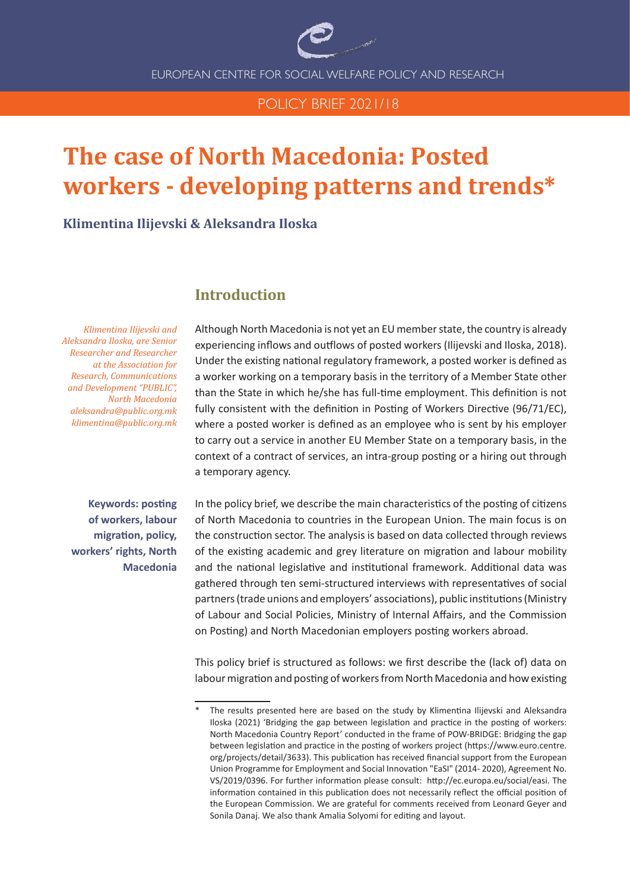

EUROPEAN CENTRE FOR SOCIAL WELFARE POLICY AND RESEARCH

## POLICY BRIEF 2021/18

# **The case of North Macedonia: Posted workers - developing patterns and trends\***

### **Klimentina Ilijevski & Aleksandra Iloska**

*Klimentina Ilijevski and Aleksandra Iloska, are Senior Researcher and Researcher at the Association for Research, Communications and Development "PUBLIC", North Macedonia aleksandra@public.org.mk klimentina@public.org.mk* 

# **Introduction**

Although North Macedonia is not yet an EU member state, the country is already experiencing inflows and outflows of posted workers (Ilijevski and Iloska, 2018). Under the existing national regulatory framework, a posted worker is defined as a worker working on a temporary basis in the territory of a Member State other than the State in which he/she has full-time employment. This definition is not fully consistent with the definition in Posting of Workers Directive (96/71/EC), where a posted worker is defined as an employee who is sent by his employer to carry out a service in another EU Member State on a temporary basis, in the context of a contract of services, an intra-group posting or a hiring out through a temporary agency.

**Keywords: posting of workers, labour migration, policy, workers' rights, North Macedonia**  In the policy brief, we describe the main characteristics of the posting of citizens of North Macedonia to countries in the European Union. The main focus is on the construction sector. The analysis is based on data collected through reviews of the existing academic and grey literature on migration and labour mobility and the national legislative and institutional framework. Additional data was gathered through ten semi-structured interviews with representatives of social partners (trade unions and employers' associations), public institutions (Ministry of Labour and Social Policies, Ministry of Internal Affairs, and the Commission on Posting) and North Macedonian employers posting workers abroad.

This policy brief is structured as follows: we first describe the (lack of) data on labour migration and posting of workers from North Macedonia and how existing

The results presented here are based on the study by Klimentina Ilijevski and Aleksandra Iloska (2021) 'Bridging the gap between legislation and practice in the posting of workers: North Macedonia Country Report' conducted in the frame of POW-BRIDGE: Bridging the gap between legislation and practice in the posting of workers project (https://www.euro.centre. org/projects/detail/3633). This publication has received financial support from the European Union Programme for Employment and Social Innovation "EaSI" (2014- 2020), Agreement No. VS/2019/0396. For further information please consult: http://ec.europa.eu/social/easi. The information contained in this publication does not necessarily reflect the official position of the European Commission. We are grateful for comments received from Leonard Geyer and Sonila Danaj. We also thank Amalia Solyomi for editing and layout.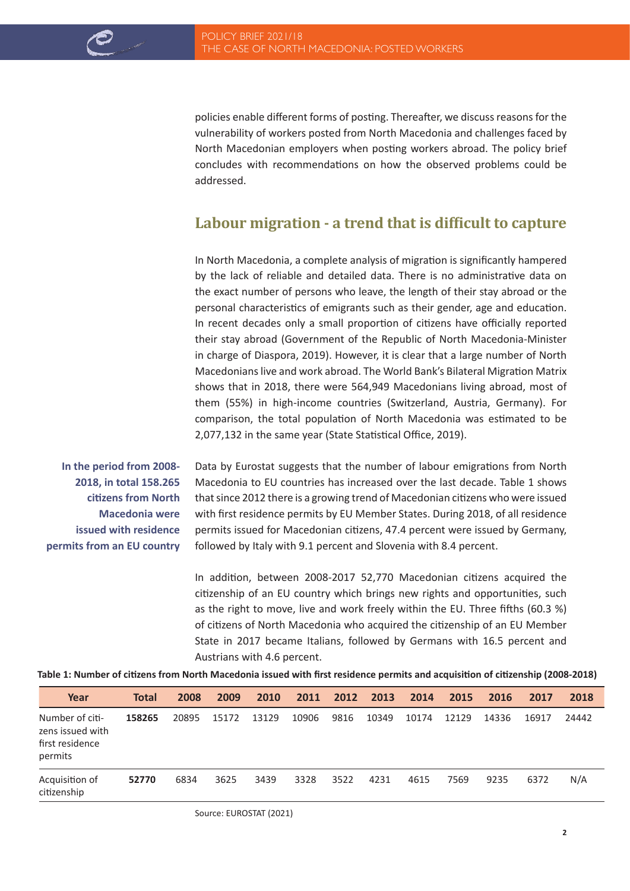policies enable different forms of posting. Thereafter, we discuss reasons for the vulnerability of workers posted from North Macedonia and challenges faced by North Macedonian employers when posting workers abroad. The policy brief concludes with recommendations on how the observed problems could be addressed.

# **Labour migration - a trend that is difficult to capture**

In North Macedonia, a complete analysis of migration is significantly hampered by the lack of reliable and detailed data. There is no administrative data on the exact number of persons who leave, the length of their stay abroad or the personal characteristics of emigrants such as their gender, age and education. In recent decades only a small proportion of citizens have officially reported their stay abroad (Government of the Republic of North Macedonia-Minister in charge of Diaspora, 2019). However, it is clear that a large number of North Macedonians live and work abroad. The World Bank's Bilateral Migration Matrix shows that in 2018, there were 564,949 Macedonians living abroad, most of them (55%) in high-income countries (Switzerland, Austria, Germany). For comparison, the total population of North Macedonia was estimated to be 2,077,132 in the same year (State Statistical Office, 2019).

**In the period from 2008- 2018, in total 158.265 citizens from North Macedonia were issued with residence permits from an EU country**

Data by Eurostat suggests that the number of labour emigrations from North Macedonia to EU countries has increased over the last decade. Table 1 shows that since 2012 there is a growing trend of Macedonian citizens who were issued with first residence permits by EU Member States. During 2018, of all residence permits issued for Macedonian citizens, 47.4 percent were issued by Germany, followed by Italy with 9.1 percent and Slovenia with 8.4 percent.

In addition, between 2008-2017 52,770 Macedonian citizens acquired the citizenship of an EU country which brings new rights and opportunities, such as the right to move, live and work freely within the EU. Three fifths (60.3 %) of citizens of North Macedonia who acquired the citizenship of an EU Member State in 2017 became Italians, followed by Germans with 16.5 percent and Austrians with 4.6 percent.

**Table 1: Number of citizens from North Macedonia issued with first residence permits and acquisition of citizenship (2008-2018)**

| Year                                                              | <b>Total</b> | 2008  | 2009  | 2010  | 2011  | 2012 | 2013  | 2014  | 2015  | 2016  | 2017  | 2018  |
|-------------------------------------------------------------------|--------------|-------|-------|-------|-------|------|-------|-------|-------|-------|-------|-------|
| Number of citi-<br>zens issued with<br>first residence<br>permits | 158265       | 20895 | 15172 | 13129 | 10906 | 9816 | 10349 | 10174 | 12129 | 14336 | 16917 | 24442 |
| Acquisition of<br>citizenship                                     | 52770        | 6834  | 3625  | 3439  | 3328  | 3522 | 4231  | 4615  | 7569  | 9235  | 6372  | N/A   |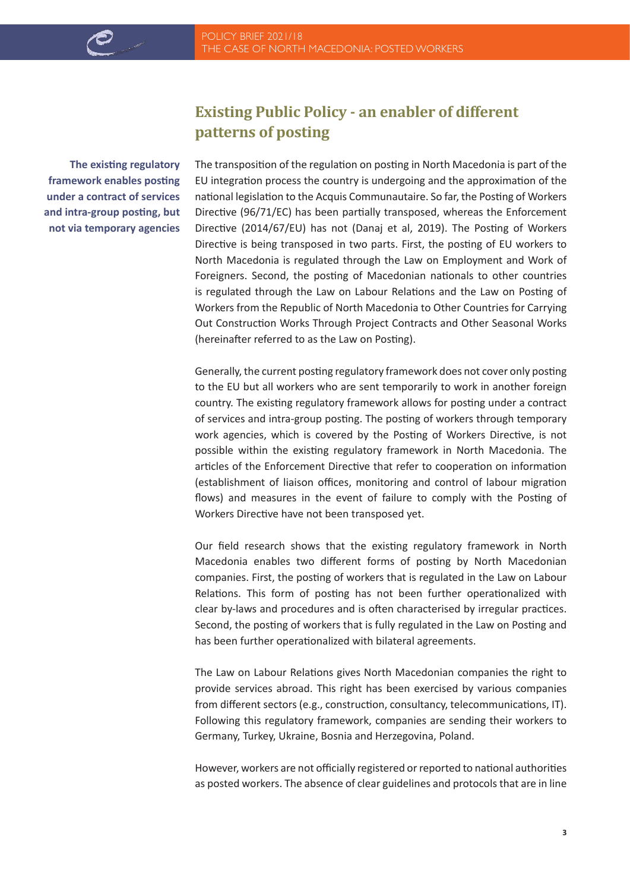**The existing regulatory framework enables posting under a contract of services and intra-group posting, but not via temporary agencies**

# **Existing Public Policy - an enabler of different patterns of posting**

The transposition of the regulation on posting in North Macedonia is part of the EU integration process the country is undergoing and the approximation of the national legislation to the Acquis Communautaire. So far, the Posting of Workers Directive (96/71/EC) has been partially transposed, whereas the Enforcement Directive (2014/67/EU) has not (Danaj et al, 2019). The Posting of Workers Directive is being transposed in two parts. First, the posting of EU workers to North Macedonia is regulated through the Law on Employment and Work of Foreigners. Second, the posting of Macedonian nationals to other countries is regulated through the Law on Labour Relations and the Law on Posting of Workers from the Republic of North Macedonia to Other Countries for Carrying Out Construction Works Through Project Contracts and Other Seasonal Works (hereinafter referred to as the Law on Posting).

Generally, the current posting regulatory framework does not cover only posting to the EU but all workers who are sent temporarily to work in another foreign country. The existing regulatory framework allows for posting under a contract of services and intra-group posting. The posting of workers through temporary work agencies, which is covered by the Posting of Workers Directive, is not possible within the existing regulatory framework in North Macedonia. The articles of the Enforcement Directive that refer to cooperation on information (establishment of liaison offices, monitoring and control of labour migration flows) and measures in the event of failure to comply with the Posting of Workers Directive have not been transposed yet.

Our field research shows that the existing regulatory framework in North Macedonia enables two different forms of posting by North Macedonian companies. First, the posting of workers that is regulated in the Law on Labour Relations. This form of posting has not been further operationalized with clear by-laws and procedures and is often characterised by irregular practices. Second, the posting of workers that is fully regulated in the Law on Posting and has been further operationalized with bilateral agreements.

The Law on Labour Relations gives North Macedonian companies the right to provide services abroad. This right has been exercised by various companies from different sectors (e.g., construction, consultancy, telecommunications, IT). Following this regulatory framework, companies are sending their workers to Germany, Turkey, Ukraine, Bosnia and Herzegovina, Poland.

However, workers are not officially registered or reported to national authorities as posted workers. The absence of clear guidelines and protocols that are in line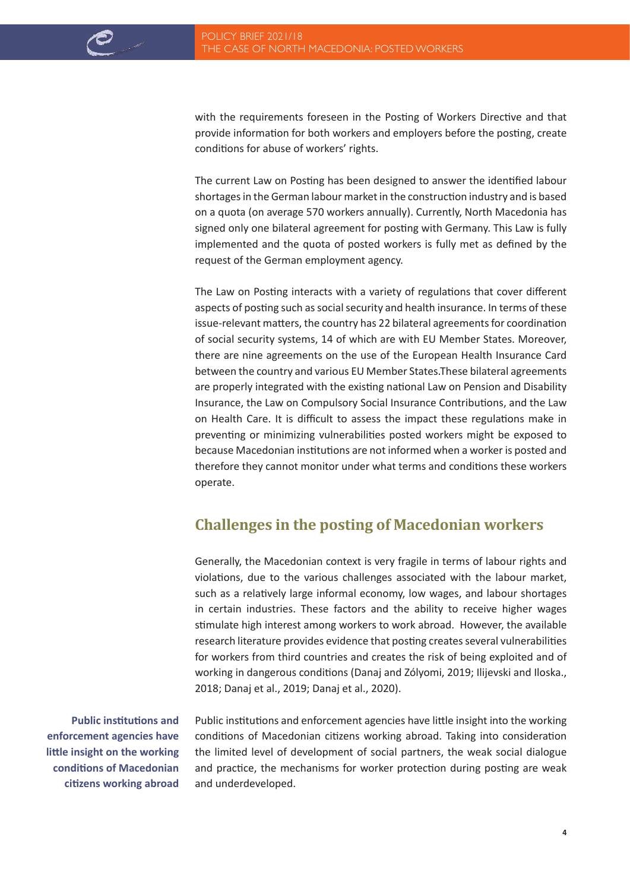with the requirements foreseen in the Posting of Workers Directive and that provide information for both workers and employers before the posting, create conditions for abuse of workers' rights.

The current Law on Posting has been designed to answer the identified labour shortages in the German labour market in the construction industry and is based on a quota (on average 570 workers annually). Currently, North Macedonia has signed only one bilateral agreement for posting with Germany. This Law is fully implemented and the quota of posted workers is fully met as defined by the request of the German employment agency.

The Law on Posting interacts with a variety of regulations that cover different aspects of posting such as social security and health insurance. In terms of these issue-relevant matters, the country has 22 bilateral agreements for coordination of social security systems, 14 of which are with EU Member States. Moreover, there are nine agreements on the use of the European Health Insurance Card between the country and various EU Member States.These bilateral agreements are properly integrated with the existing national Law on Pension and Disability Insurance, the Law on Compulsory Social Insurance Contributions, and the Law on Health Care. It is difficult to assess the impact these regulations make in preventing or minimizing vulnerabilities posted workers might be exposed to because Macedonian institutions are not informed when a worker is posted and therefore they cannot monitor under what terms and conditions these workers operate.

# **Challenges in the posting of Macedonian workers**

Generally, the Macedonian context is very fragile in terms of labour rights and violations, due to the various challenges associated with the labour market, such as a relatively large informal economy, low wages, and labour shortages in certain industries. These factors and the ability to receive higher wages stimulate high interest among workers to work abroad. However, the available research literature provides evidence that posting creates several vulnerabilities for workers from third countries and creates the risk of being exploited and of working in dangerous conditions (Danaj and Zólyomi, 2019; Ilijevski and Iloska., 2018; Danaj et al., 2019; Danaj et al., 2020).

**Public institutions and enforcement agencies have little insight on the working conditions of Macedonian citizens working abroad** Public institutions and enforcement agencies have little insight into the working conditions of Macedonian citizens working abroad. Taking into consideration the limited level of development of social partners, the weak social dialogue and practice, the mechanisms for worker protection during posting are weak and underdeveloped.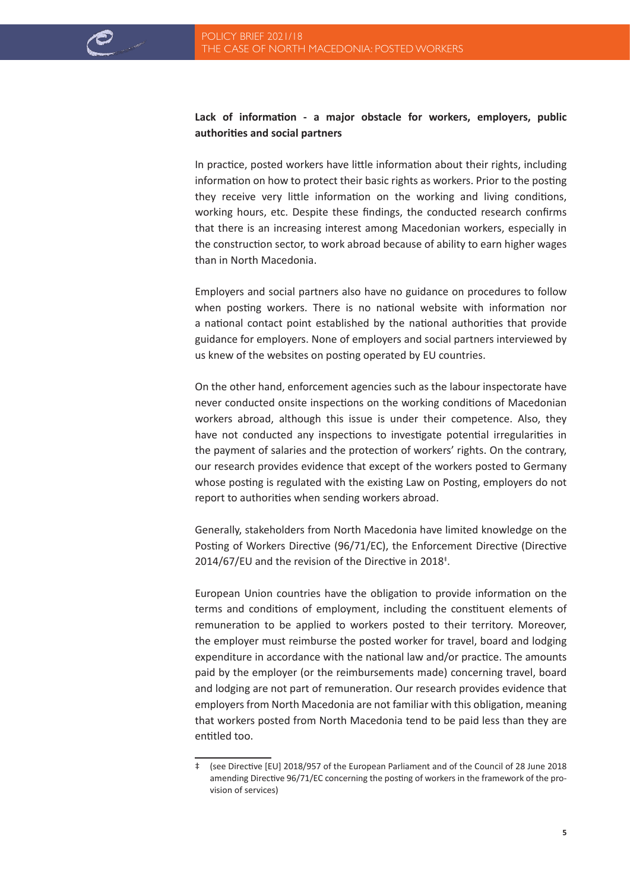### **Lack of information - a major obstacle for workers, employers, public authorities and social partners**

In practice, posted workers have little information about their rights, including information on how to protect their basic rights as workers. Prior to the posting they receive very little information on the working and living conditions, working hours, etc. Despite these findings, the conducted research confirms that there is an increasing interest among Macedonian workers, especially in the construction sector, to work abroad because of ability to earn higher wages than in North Macedonia.

Employers and social partners also have no guidance on procedures to follow when posting workers. There is no national website with information nor a national contact point established by the national authorities that provide guidance for employers. None of employers and social partners interviewed by us knew of the websites on posting operated by EU countries.

On the other hand, enforcement agencies such as the labour inspectorate have never conducted onsite inspections on the working conditions of Macedonian workers abroad, although this issue is under their competence. Also, they have not conducted any inspections to investigate potential irregularities in the payment of salaries and the protection of workers' rights. On the contrary, our research provides evidence that except of the workers posted to Germany whose posting is regulated with the existing Law on Posting, employers do not report to authorities when sending workers abroad.

Generally, stakeholders from North Macedonia have limited knowledge on the Posting of Workers Directive (96/71/EC), the Enforcement Directive (Directive 2014/67/EU and the revision of the Directive in 2018<sup>‡</sup>.

European Union countries have the obligation to provide information on the terms and conditions of employment, including the constituent elements of remuneration to be applied to workers posted to their territory. Moreover, the employer must reimburse the posted worker for travel, board and lodging expenditure in accordance with the national law and/or practice. The amounts paid by the employer (or the reimbursements made) concerning travel, board and lodging are not part of remuneration. Our research provides evidence that employers from North Macedonia are not familiar with this obligation, meaning that workers posted from North Macedonia tend to be paid less than they are entitled too.

<sup>‡ (</sup>see Directive [EU] 2018/957 of the European Parliament and of the Council of 28 June 2018 amending Directive 96/71/EC concerning the posting of workers in the framework of the provision of services)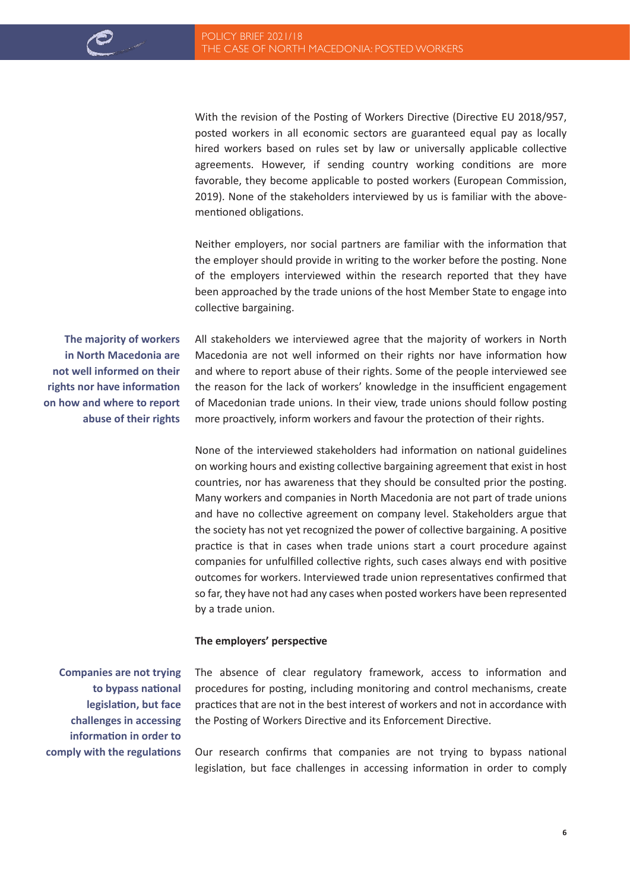With the revision of the Posting of Workers Directive (Directive EU 2018/957, posted workers in all economic sectors are guaranteed equal pay as locally hired workers based on rules set by law or universally applicable collective agreements. However, if sending country working conditions are more favorable, they become applicable to posted workers (European Commission, 2019). None of the stakeholders interviewed by us is familiar with the abovementioned obligations.

Neither employers, nor social partners are familiar with the information that the employer should provide in writing to the worker before the posting. None of the employers interviewed within the research reported that they have been approached by the trade unions of the host Member State to engage into collective bargaining.

**The majority of workers in North Macedonia are not well informed on their rights nor have information on how and where to report abuse of their rights**

All stakeholders we interviewed agree that the majority of workers in North Macedonia are not well informed on their rights nor have information how and where to report abuse of their rights. Some of the people interviewed see the reason for the lack of workers' knowledge in the insufficient engagement of Macedonian trade unions. In their view, trade unions should follow posting more proactively, inform workers and favour the protection of their rights.

None of the interviewed stakeholders had information on national guidelines on working hours and existing collective bargaining agreement that exist in host countries, nor has awareness that they should be consulted prior the posting. Many workers and companies in North Macedonia are not part of trade unions and have no collective agreement on company level. Stakeholders argue that the society has not yet recognized the power of collective bargaining. A positive practice is that in cases when trade unions start a court procedure against companies for unfulfilled collective rights, such cases always end with positive outcomes for workers. Interviewed trade union representatives confirmed that so far, they have not had any cases when posted workers have been represented by a trade union.

#### **The employers' perspective**

**Companies are not trying to bypass national legislation, but face challenges in accessing information in order to comply with the regulations**  The absence of clear regulatory framework, access to information and procedures for posting, including monitoring and control mechanisms, create practices that are not in the best interest of workers and not in accordance with the Posting of Workers Directive and its Enforcement Directive.

Our research confirms that companies are not trying to bypass national legislation, but face challenges in accessing information in order to comply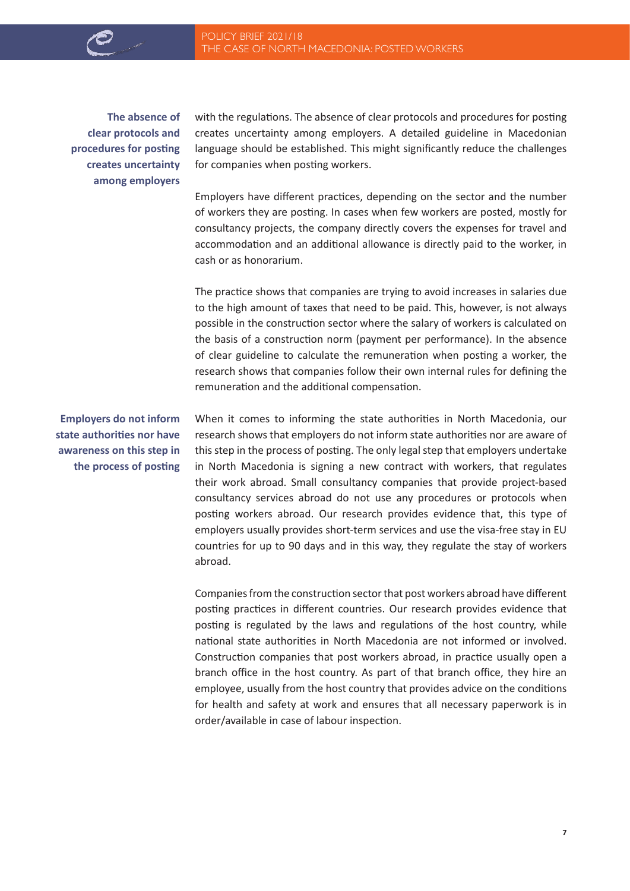**The absence of clear protocols and procedures for posting creates uncertainty among employers**

with the regulations. The absence of clear protocols and procedures for posting creates uncertainty among employers. A detailed guideline in Macedonian language should be established. This might significantly reduce the challenges for companies when posting workers.

Employers have different practices, depending on the sector and the number of workers they are posting. In cases when few workers are posted, mostly for consultancy projects, the company directly covers the expenses for travel and accommodation and an additional allowance is directly paid to the worker, in cash or as honorarium.

The practice shows that companies are trying to avoid increases in salaries due to the high amount of taxes that need to be paid. This, however, is not always possible in the construction sector where the salary of workers is calculated on the basis of a construction norm (payment per performance). In the absence of clear guideline to calculate the remuneration when posting a worker, the research shows that companies follow their own internal rules for defining the remuneration and the additional compensation.

**Employers do not inform state authorities nor have awareness on this step in the process of posting**

When it comes to informing the state authorities in North Macedonia, our research shows that employers do not inform state authorities nor are aware of this step in the process of posting. The only legal step that employers undertake in North Macedonia is signing a new contract with workers, that regulates their work abroad. Small consultancy companies that provide project-based consultancy services abroad do not use any procedures or protocols when posting workers abroad. Our research provides evidence that, this type of employers usually provides short-term services and use the visa-free stay in EU countries for up to 90 days and in this way, they regulate the stay of workers abroad.

Companies from the construction sector that post workers abroad have different posting practices in different countries. Our research provides evidence that posting is regulated by the laws and regulations of the host country, while national state authorities in North Macedonia are not informed or involved. Construction companies that post workers abroad, in practice usually open a branch office in the host country. As part of that branch office, they hire an employee, usually from the host country that provides advice on the conditions for health and safety at work and ensures that all necessary paperwork is in order/available in case of labour inspection.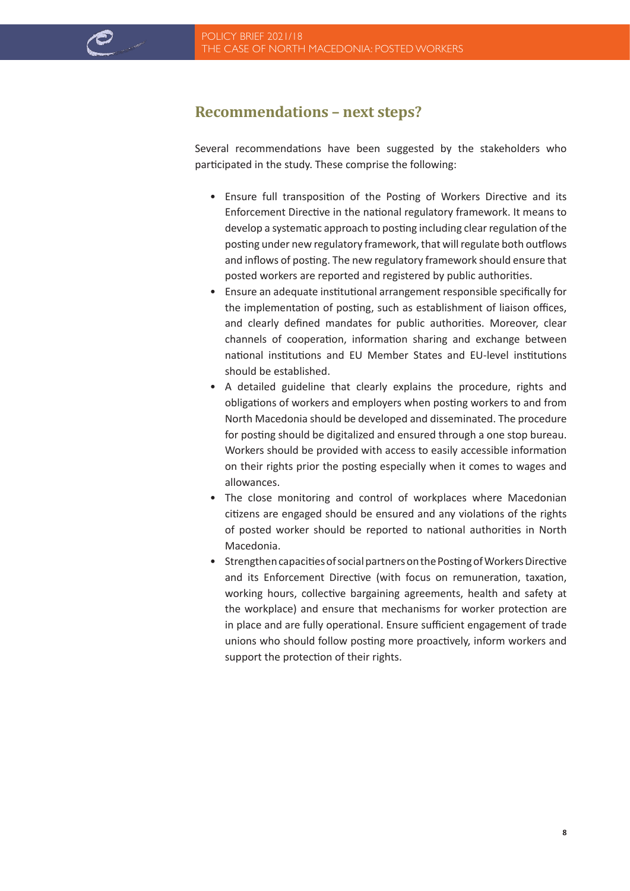# **Recommendations – next steps?**

Several recommendations have been suggested by the stakeholders who participated in the study. These comprise the following:

- Ensure full transposition of the Posting of Workers Directive and its Enforcement Directive in the national regulatory framework. It means to develop a systematic approach to posting including clear regulation of the posting under new regulatory framework, that will regulate both outflows and inflows of posting. The new regulatory framework should ensure that posted workers are reported and registered by public authorities.
- Ensure an adequate institutional arrangement responsible specifically for the implementation of posting, such as establishment of liaison offices, and clearly defined mandates for public authorities. Moreover, clear channels of cooperation, information sharing and exchange between national institutions and EU Member States and EU-level institutions should be established.
- A detailed guideline that clearly explains the procedure, rights and obligations of workers and employers when posting workers to and from North Macedonia should be developed and disseminated. The procedure for posting should be digitalized and ensured through a one stop bureau. Workers should be provided with access to easily accessible information on their rights prior the posting especially when it comes to wages and allowances.
- The close monitoring and control of workplaces where Macedonian citizens are engaged should be ensured and any violations of the rights of posted worker should be reported to national authorities in North Macedonia.
- Strengthen capacities of social partners on the Posting of Workers Directive and its Enforcement Directive (with focus on remuneration, taxation, working hours, collective bargaining agreements, health and safety at the workplace) and ensure that mechanisms for worker protection are in place and are fully operational. Ensure sufficient engagement of trade unions who should follow posting more proactively, inform workers and support the protection of their rights.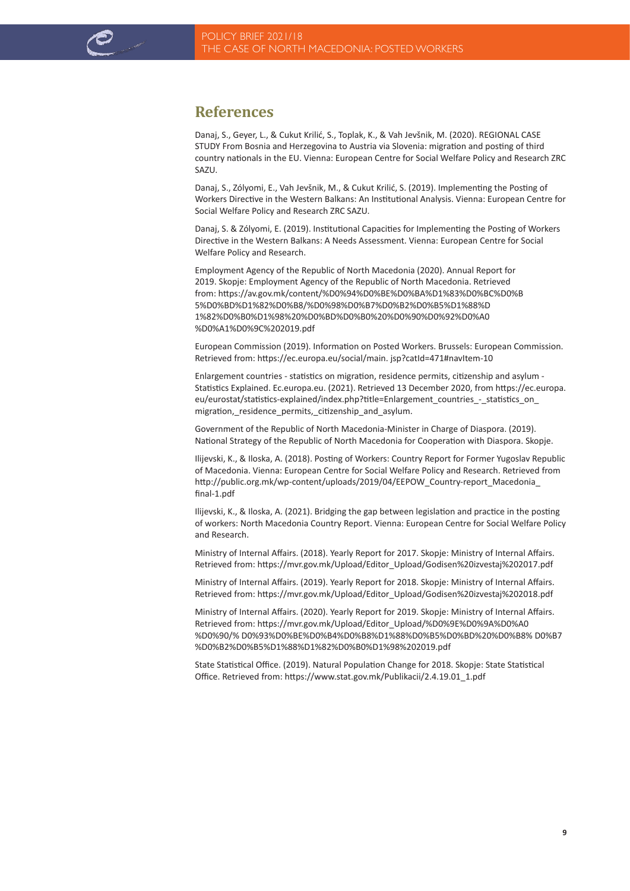

# **References**

Danaj, S., Geyer, L., & Cukut Krilić, S., Toplak, K., & Vah Jevšnik, M. (2020). REGIONAL CASE STUDY From Bosnia and Herzegovina to Austria via Slovenia: migration and posting of third country nationals in the EU. Vienna: European Centre for Social Welfare Policy and Research ZRC SAZU.

Danaj, S., Zólyomi, E., Vah Jevšnik, M., & Cukut Krilić, S. (2019). Implementing the Posting of Workers Directive in the Western Balkans: An Institutional Analysis. Vienna: European Centre for Social Welfare Policy and Research ZRC SAZU.

Danaj, S. & Zólyomi, E. (2019). Institutional Capacities for Implementing the Posting of Workers Directive in the Western Balkans: A Needs Assessment. Vienna: European Centre for Social Welfare Policy and Research.

Employment Agency of the Republic of North Macedonia (2020). Annual Report for 2019. Skopje: Employment Agency of the Republic of North Macedonia. Retrieved from: https://av.gov.mk/content/%D0%94%D0%BE%D0%BA%D1%83%D0%BC%D0%B 5%D0%BD%D1%82%D0%B8/%D0%98%D0%B7%D0%B2%D0%B5%D1%88%D 1%82%D0%B0%D1%98%20%D0%BD%D0%B0%20%D0%90%D0%92%D0%A0 %D0%A1%D0%9C%202019.pdf

European Commission (2019). Information on Posted Workers. Brussels: European Commission. Retrieved from: https://ec.europa.eu/social/main. jsp?catId=471#navItem-10

Enlargement countries - statistics on migration, residence permits, citizenship and asylum - Statistics Explained. Ec.europa.eu. (2021). Retrieved 13 December 2020, from https://ec.europa. eu/eurostat/statistics-explained/index.php?title=Enlargement\_countries\_-\_statistics\_on migration,\_residence\_permits,\_citizenship\_and\_asylum.

Government of the Republic of North Macedonia-Minister in Charge of Diaspora. (2019). National Strategy of the Republic of North Macedonia for Cooperation with Diaspora. Skopje.

Ilijevski, K., & Iloska, A. (2018). Posting of Workers: Country Report for Former Yugoslav Republic of Macedonia. Vienna: European Centre for Social Welfare Policy and Research. Retrieved from http://public.org.mk/wp-content/uploads/2019/04/EEPOW\_Country-report\_Macedonia\_ final-1.pdf

Ilijevski, K., & Iloska, A. (2021). Bridging the gap between legislation and practice in the posting of workers: North Macedonia Country Report. Vienna: European Centre for Social Welfare Policy and Research.

Ministry of Internal Affairs. (2018). Yearly Report for 2017. Skopje: Ministry of Internal Affairs. Retrieved from: https://mvr.gov.mk/Upload/Editor\_Upload/Godisen%20izvestaj%202017.pdf

Ministry of Internal Affairs. (2019). Yearly Report for 2018. Skopje: Ministry of Internal Affairs. Retrieved from: https://mvr.gov.mk/Upload/Editor\_Upload/Godisen%20izvestaj%202018.pdf

Ministry of Internal Affairs. (2020). Yearly Report for 2019. Skopje: Ministry of Internal Affairs. Retrieved from: https://mvr.gov.mk/Upload/Editor\_Upload/%D0%9E%D0%9A%D0%A0 %D0%90/% D0%93%D0%BE%D0%B4%D0%B8%D1%88%D0%B5%D0%BD%20%D0%B8% D0%B7 %D0%B2%D0%B5%D1%88%D1%82%D0%B0%D1%98%202019.pdf

State Statistical Office. (2019). Natural Population Change for 2018. Skopje: State Statistical Office. Retrieved from: https://www.stat.gov.mk/Publikacii/2.4.19.01\_1.pdf